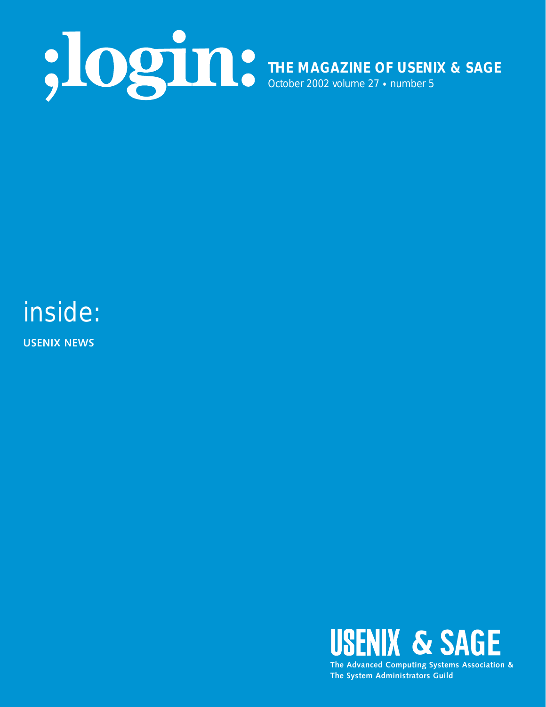

## inside:

**USENIX NEWS**



**The System Administrators Guild**